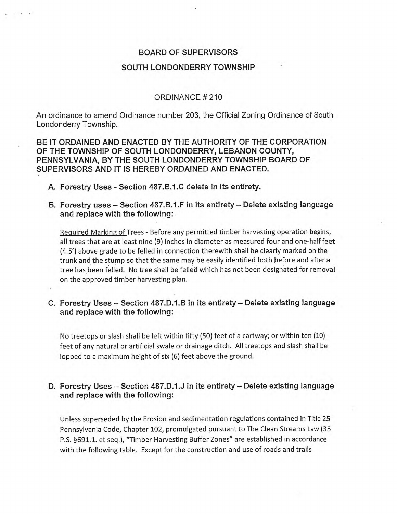## **BOARD OF SUPERVISORS**

## **SOUTH LONDONDERRY TOWNSHIP**

## ORDINANCE #210

An ordinance to amend Ordinance number 203, the Official Zoning Ordinance of South Londonderry Township.

**BE IT ORDAINED AND ENACTED BY THE AUTHORITY OF THE CORPORATION OF THE TOWNSHIP OF SOUTH LONDONDERRY, LEBANON COUNTY, PENNSYLVANIA, BY THE SOUTH LONDONDERRY TOWNSHIP BOARD OF SUPERVISORS AND IT IS HEREBY ORDAINED AND ENACTED.** 

- **A. Forestry Uses Section 487.B.1.0 delete in its entirety.**
- **B. Forestry uses Section 487.B.1.F in its entirety Delete existing language and replace with the following:**

Required Marking of Trees - Before any permitted timber harvesting operation begins, all trees that are at least nine (9) inches in diameter as measured four and one-half feet (4.5') above grade to be felled in connection therewith shall be clearly marked on the trunk and the stump so that the same may be easily identified both before and after a tree has been felled. No tree shall be felled which has not been designated for removal on the approved timber harvesting plan.

**C. Forestry Uses — Section 487.D.1.B in its entirety — Delete existing language and replace with the following:** 

No treetops or slash shall be left within fifty (50) feet of a cartway; or within ten (10) feet of any natural or artificial swale or drainage ditch. All treetops and slash shall be lopped to a maximum height of six (6) feet above the ground.

## **D. Forestry Uses — Section 487.D.1.J in its entirety — Delete existing language and replace with the following:**

Unless superseded by the Erosion and sedimentation regulations contained in Title 25 Pennsylvania Code, Chapter 102, promulgated pursuant to The Clean Streams Law (35 P.S. §691.1. et seq.), "Timber Harvesting Buffer Zones" are established in accordance with the following table. Except for the construction and use of roads and trails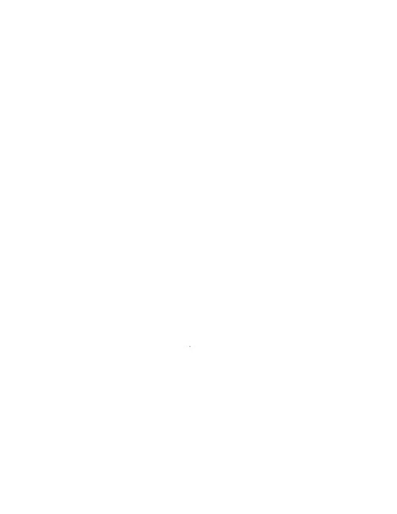$\label{eq:2.1} \mathcal{L}(\mathcal{A}) = \mathcal{L}(\mathcal{A})$